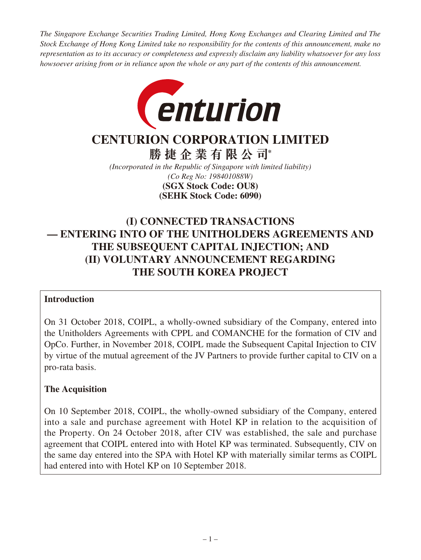*The Singapore Exchange Securities Trading Limited, Hong Kong Exchanges and Clearing Limited and The Stock Exchange of Hong Kong Limited take no responsibility for the contents of this announcement, make no representation as to its accuracy or completeness and expressly disclaim any liability whatsoever for any loss howsoever arising from or in reliance upon the whole or any part of the contents of this announcement.*



# **CENTURION CORPORATION LIMITED**

**勝捷企業有限公司\***

*(Incorporated in the Republic of Singapore with limited liability) (Co Reg No: 198401088W)* **(SEHK Stock Code: 6090) (SGX Stock Code: OU8)**

## **(I) CONNECTED TRANSACTIONS — ENTERING INTO OF THE UNITHOLDERS AGREEMENTS AND THE SUBSEQUENT CAPITAL INJECTION; AND (II) VOLUNTARY ANNOUNCEMENT REGARDING THE SOUTH KOREA PROJECT**

## **Introduction**

On 31 October 2018, COIPL, a wholly-owned subsidiary of the Company, entered into the Unitholders Agreements with CPPL and COMANCHE for the formation of CIV and OpCo. Further, in November 2018, COIPL made the Subsequent Capital Injection to CIV by virtue of the mutual agreement of the JV Partners to provide further capital to CIV on a pro-rata basis.

## **The Acquisition**

On 10 September 2018, COIPL, the wholly-owned subsidiary of the Company, entered into a sale and purchase agreement with Hotel KP in relation to the acquisition of the Property. On 24 October 2018, after CIV was established, the sale and purchase agreement that COIPL entered into with Hotel KP was terminated. Subsequently, CIV on the same day entered into the SPA with Hotel KP with materially similar terms as COIPL had entered into with Hotel KP on 10 September 2018.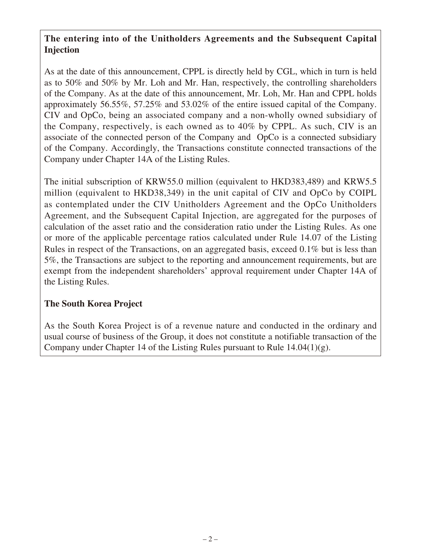## **The entering into of the Unitholders Agreements and the Subsequent Capital Injection**

As at the date of this announcement, CPPL is directly held by CGL, which in turn is held as to 50% and 50% by Mr. Loh and Mr. Han, respectively, the controlling shareholders of the Company. As at the date of this announcement, Mr. Loh, Mr. Han and CPPL holds approximately 56.55%, 57.25% and 53.02% of the entire issued capital of the Company. CIV and OpCo, being an associated company and a non-wholly owned subsidiary of the Company, respectively, is each owned as to 40% by CPPL. As such, CIV is an associate of the connected person of the Company and OpCo is a connected subsidiary of the Company. Accordingly, the Transactions constitute connected transactions of the Company under Chapter 14A of the Listing Rules.

The initial subscription of KRW55.0 million (equivalent to HKD383,489) and KRW5.5 million (equivalent to HKD38,349) in the unit capital of CIV and OpCo by COIPL as contemplated under the CIV Unitholders Agreement and the OpCo Unitholders Agreement, and the Subsequent Capital Injection, are aggregated for the purposes of calculation of the asset ratio and the consideration ratio under the Listing Rules. As one or more of the applicable percentage ratios calculated under Rule 14.07 of the Listing Rules in respect of the Transactions, on an aggregated basis, exceed 0.1% but is less than 5%, the Transactions are subject to the reporting and announcement requirements, but are exempt from the independent shareholders' approval requirement under Chapter 14A of the Listing Rules.

## **The South Korea Project**

As the South Korea Project is of a revenue nature and conducted in the ordinary and usual course of business of the Group, it does not constitute a notifiable transaction of the Company under Chapter 14 of the Listing Rules pursuant to Rule 14.04(1)(g).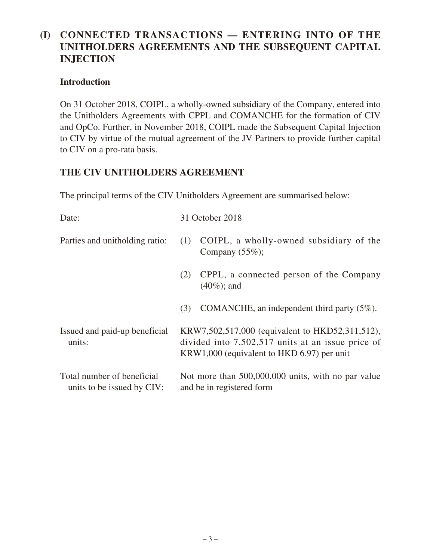## **(I) CONNECTED TRANSACTIONS — ENTERING INTO OF THE UNITHOLDERS AGREEMENTS AND THE SUBSEQUENT CAPITAL INJECTION**

### **Introduction**

On 31 October 2018, COIPL, a wholly-owned subsidiary of the Company, entered into the Unitholders Agreements with CPPL and COMANCHE for the formation of CIV and OpCo. Further, in November 2018, COIPL made the Subsequent Capital Injection to CIV by virtue of the mutual agreement of the JV Partners to provide further capital to CIV on a pro-rata basis.

## **THE CIV UNITHOLDERS AGREEMENT**

The principal terms of the CIV Unitholders Agreement are summarised below:

| Date:                                                    | 31 October 2018                                                                                                                                    |
|----------------------------------------------------------|----------------------------------------------------------------------------------------------------------------------------------------------------|
| Parties and unitholding ratio:                           | COIPL, a wholly-owned subsidiary of the<br>(1)<br>Company $(55\%)$ ;                                                                               |
|                                                          | CPPL, a connected person of the Company<br>(2)<br>$(40\%)$ ; and                                                                                   |
|                                                          | COMANCHE, an independent third party $(5\%)$ .<br>(3)                                                                                              |
| Issued and paid-up beneficial<br>units:                  | KRW7,502,517,000 (equivalent to HKD52,311,512),<br>divided into 7,502,517 units at an issue price of<br>KRW1,000 (equivalent to HKD 6.97) per unit |
| Total number of beneficial<br>units to be issued by CIV: | Not more than 500,000,000 units, with no par value<br>and be in registered form                                                                    |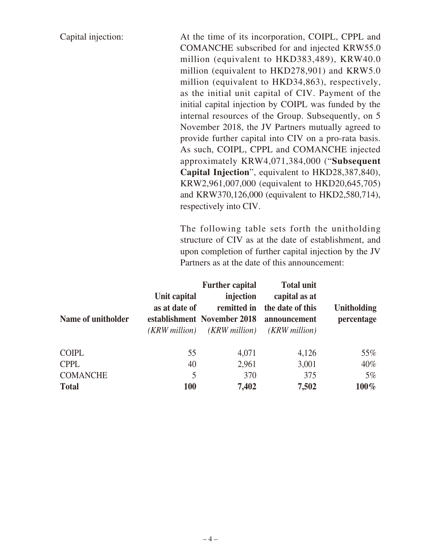Capital injection: At the time of its incorporation, COIPL, CPPL and COMANCHE subscribed for and injected KRW55.0 million (equivalent to HKD383,489), KRW40.0 million (equivalent to HKD278,901) and KRW5.0 million (equivalent to HKD34,863), respectively, as the initial unit capital of CIV. Payment of the initial capital injection by COIPL was funded by the internal resources of the Group. Subsequently, on 5 November 2018, the JV Partners mutually agreed to provide further capital into CIV on a pro-rata basis. As such, COIPL, CPPL and COMANCHE injected approximately KRW4,071,384,000 ("**Subsequent Capital Injection**", equivalent to HKD28,387,840), KRW2,961,007,000 (equivalent to HKD20,645,705) and KRW370,126,000 (equivalent to HKD2,580,714), respectively into CIV.

> The following table sets forth the unitholding structure of CIV as at the date of establishment, and upon completion of further capital injection by the JV Partners as at the date of this announcement:

|                    |               | <b>Further capital</b>      | <b>Total unit</b>      |                    |
|--------------------|---------------|-----------------------------|------------------------|--------------------|
|                    | Unit capital  | injection                   | capital as at          |                    |
|                    | as at date of | remitted in                 | the date of this       | <b>Unitholding</b> |
| Name of unitholder |               | establishment November 2018 | announcement           | percentage         |
|                    | (KRW million) | ( <i>KRW million</i> )      | ( <i>KRW million</i> ) |                    |
|                    |               |                             |                        |                    |
| <b>COIPL</b>       | 55            | 4,071                       | 4,126                  | 55%                |
| <b>CPPL</b>        | 40            | 2,961                       | 3,001                  | $40\%$             |
| <b>COMANCHE</b>    | 5             | 370                         | 375                    | $5\%$              |
| <b>Total</b>       | <b>100</b>    | 7,402                       | 7,502                  | $100\%$            |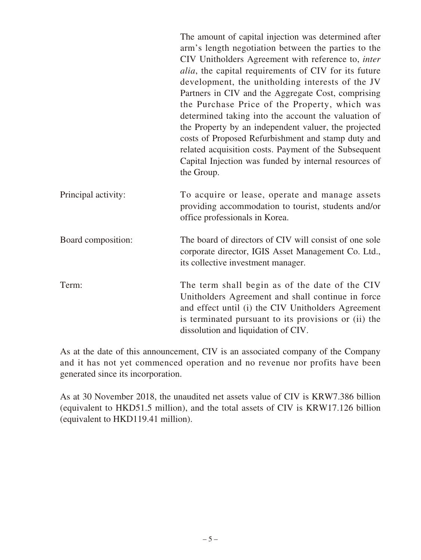|                     | The amount of capital injection was determined after<br>arm's length negotiation between the parties to the<br>CIV Unitholders Agreement with reference to, inter<br><i>alia</i> , the capital requirements of CIV for its future<br>development, the unitholding interests of the JV<br>Partners in CIV and the Aggregate Cost, comprising<br>the Purchase Price of the Property, which was<br>determined taking into the account the valuation of<br>the Property by an independent valuer, the projected<br>costs of Proposed Refurbishment and stamp duty and<br>related acquisition costs. Payment of the Subsequent<br>Capital Injection was funded by internal resources of<br>the Group. |
|---------------------|--------------------------------------------------------------------------------------------------------------------------------------------------------------------------------------------------------------------------------------------------------------------------------------------------------------------------------------------------------------------------------------------------------------------------------------------------------------------------------------------------------------------------------------------------------------------------------------------------------------------------------------------------------------------------------------------------|
| Principal activity: | To acquire or lease, operate and manage assets<br>providing accommodation to tourist, students and/or<br>office professionals in Korea.                                                                                                                                                                                                                                                                                                                                                                                                                                                                                                                                                          |
| Board composition:  | The board of directors of CIV will consist of one sole<br>corporate director, IGIS Asset Management Co. Ltd.,<br>its collective investment manager.                                                                                                                                                                                                                                                                                                                                                                                                                                                                                                                                              |
| Term:               | The term shall begin as of the date of the CIV<br>Unitholders Agreement and shall continue in force<br>and effect until (i) the CIV Unitholders Agreement<br>is terminated pursuant to its provisions or (ii) the<br>dissolution and liquidation of CIV.                                                                                                                                                                                                                                                                                                                                                                                                                                         |

As at the date of this announcement, CIV is an associated company of the Company and it has not yet commenced operation and no revenue nor profits have been generated since its incorporation.

As at 30 November 2018, the unaudited net assets value of CIV is KRW7.386 billion (equivalent to HKD51.5 million), and the total assets of CIV is KRW17.126 billion (equivalent to HKD119.41 million).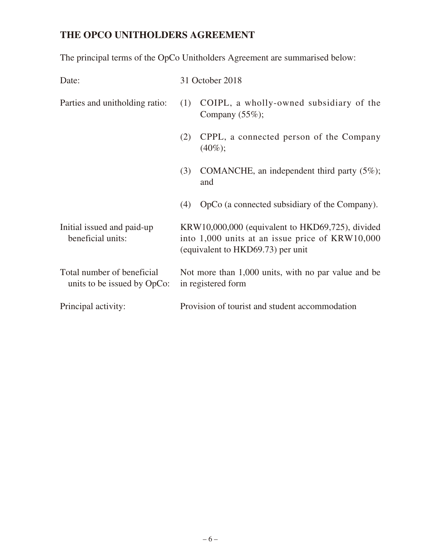## **THE OPCO UNITHOLDERS AGREEMENT**

The principal terms of the OpCo Unitholders Agreement are summarised below:

| Date:                                                     |     | 31 October 2018                                                                                                                          |
|-----------------------------------------------------------|-----|------------------------------------------------------------------------------------------------------------------------------------------|
| Parties and unitholding ratio:                            | (1) | COIPL, a wholly-owned subsidiary of the<br>Company $(55\%)$ ;                                                                            |
|                                                           | (2) | CPPL, a connected person of the Company<br>$(40\%);$                                                                                     |
|                                                           | (3) | COMANCHE, an independent third party $(5\%)$ ;<br>and                                                                                    |
|                                                           | (4) | OpCo (a connected subsidiary of the Company).                                                                                            |
| Initial issued and paid-up<br>beneficial units:           |     | KRW10,000,000 (equivalent to HKD69,725), divided<br>into 1,000 units at an issue price of KRW10,000<br>(equivalent to HKD69.73) per unit |
| Total number of beneficial<br>units to be issued by OpCo: |     | Not more than 1,000 units, with no par value and be<br>in registered form                                                                |
| Principal activity:                                       |     | Provision of tourist and student accommodation                                                                                           |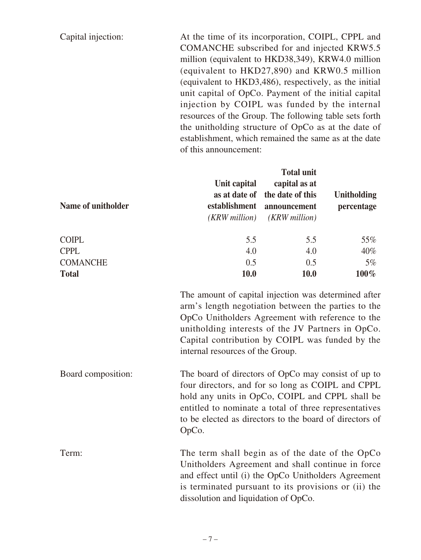Capital injection: At the time of its incorporation, COIPL, CPPL and COMANCHE subscribed for and injected KRW5.5 million (equivalent to HKD38,349), KRW4.0 million (equivalent to HKD27,890) and KRW0.5 million (equivalent to HKD3,486), respectively, as the initial unit capital of OpCo. Payment of the initial capital injection by COIPL was funded by the internal resources of the Group. The following table sets forth the unitholding structure of OpCo as at the date of establishment, which remained the same as at the date of this announcement:

| Name of unitholder | Unit capital<br>(KRW million) | Total umit<br>capital as at<br>as at date of the date of this<br>establishment announcement<br>( <i>KRW million</i> ) | <b>Unitholding</b><br>percentage |
|--------------------|-------------------------------|-----------------------------------------------------------------------------------------------------------------------|----------------------------------|
| <b>COIPL</b>       | 5.5                           | 5.5                                                                                                                   | 55%                              |
| <b>CPPL</b>        | 4.0                           | 4.0                                                                                                                   | $40\%$                           |
| <b>COMANCHE</b>    | 0.5                           | 0.5                                                                                                                   | $5\%$                            |
| <b>Total</b>       | 10.0                          | <b>10.0</b>                                                                                                           | $100\%$                          |

The amount of capital injection was determined after arm's length negotiation between the parties to the OpCo Unitholders Agreement with reference to the unitholding interests of the JV Partners in OpCo. Capital contribution by COIPL was funded by the internal resources of the Group.

**Total units** 

Board composition: The board of directors of OpCo may consist of up to four directors, and for so long as COIPL and CPPL hold any units in OpCo, COIPL and CPPL shall be entitled to nominate a total of three representatives to be elected as directors to the board of directors of OpCo.

Term: The term shall begin as of the date of the OpCo Unitholders Agreement and shall continue in force and effect until (i) the OpCo Unitholders Agreement is terminated pursuant to its provisions or (ii) the dissolution and liquidation of OpCo.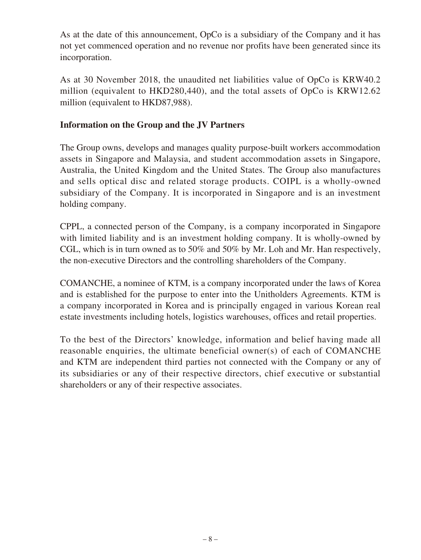As at the date of this announcement, OpCo is a subsidiary of the Company and it has not yet commenced operation and no revenue nor profits have been generated since its incorporation.

As at 30 November 2018, the unaudited net liabilities value of OpCo is KRW40.2 million (equivalent to HKD280,440), and the total assets of OpCo is KRW12.62 million (equivalent to HKD87,988).

### **Information on the Group and the JV Partners**

The Group owns, develops and manages quality purpose-built workers accommodation assets in Singapore and Malaysia, and student accommodation assets in Singapore, Australia, the United Kingdom and the United States. The Group also manufactures and sells optical disc and related storage products. COIPL is a wholly-owned subsidiary of the Company. It is incorporated in Singapore and is an investment holding company.

CPPL, a connected person of the Company, is a company incorporated in Singapore with limited liability and is an investment holding company. It is wholly-owned by CGL, which is in turn owned as to 50% and 50% by Mr. Loh and Mr. Han respectively, the non-executive Directors and the controlling shareholders of the Company.

COMANCHE, a nominee of KTM, is a company incorporated under the laws of Korea and is established for the purpose to enter into the Unitholders Agreements. KTM is a company incorporated in Korea and is principally engaged in various Korean real estate investments including hotels, logistics warehouses, offices and retail properties.

To the best of the Directors' knowledge, information and belief having made all reasonable enquiries, the ultimate beneficial owner(s) of each of COMANCHE and KTM are independent third parties not connected with the Company or any of its subsidiaries or any of their respective directors, chief executive or substantial shareholders or any of their respective associates.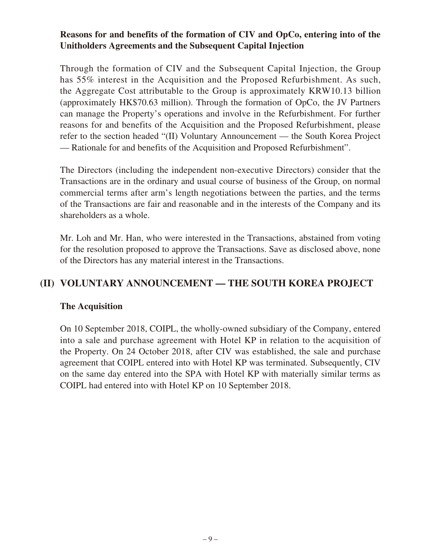### **Reasons for and benefits of the formation of CIV and OpCo, entering into of the Unitholders Agreements and the Subsequent Capital Injection**

Through the formation of CIV and the Subsequent Capital Injection, the Group has 55% interest in the Acquisition and the Proposed Refurbishment. As such, the Aggregate Cost attributable to the Group is approximately KRW10.13 billion (approximately HK\$70.63 million). Through the formation of OpCo, the JV Partners can manage the Property's operations and involve in the Refurbishment. For further reasons for and benefits of the Acquisition and the Proposed Refurbishment, please refer to the section headed "(II) Voluntary Announcement — the South Korea Project — Rationale for and benefits of the Acquisition and Proposed Refurbishment".

The Directors (including the independent non-executive Directors) consider that the Transactions are in the ordinary and usual course of business of the Group, on normal commercial terms after arm's length negotiations between the parties, and the terms of the Transactions are fair and reasonable and in the interests of the Company and its shareholders as a whole.

Mr. Loh and Mr. Han, who were interested in the Transactions, abstained from voting for the resolution proposed to approve the Transactions. Save as disclosed above, none of the Directors has any material interest in the Transactions.

## **(II) VOLUNTARY ANNOUNCEMENT — THE SOUTH KOREA PROJECT**

### **The Acquisition**

On 10 September 2018, COIPL, the wholly-owned subsidiary of the Company, entered into a sale and purchase agreement with Hotel KP in relation to the acquisition of the Property. On 24 October 2018, after CIV was established, the sale and purchase agreement that COIPL entered into with Hotel KP was terminated. Subsequently, CIV on the same day entered into the SPA with Hotel KP with materially similar terms as COIPL had entered into with Hotel KP on 10 September 2018.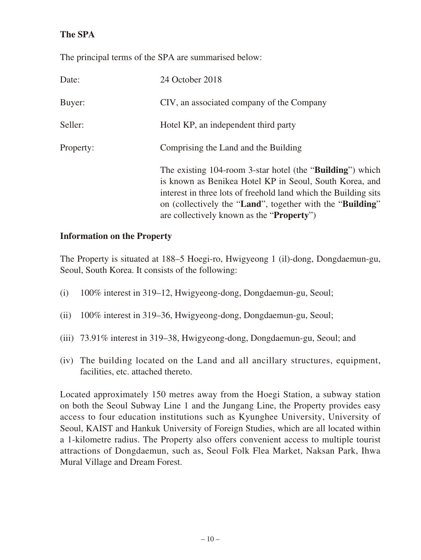## **The SPA**

The principal terms of the SPA are summarised below:

| Date:     | 24 October 2018                                                                                                                                                                                                                                                                                                     |
|-----------|---------------------------------------------------------------------------------------------------------------------------------------------------------------------------------------------------------------------------------------------------------------------------------------------------------------------|
| Buyer:    | CIV, an associated company of the Company                                                                                                                                                                                                                                                                           |
| Seller:   | Hotel KP, an independent third party                                                                                                                                                                                                                                                                                |
| Property: | Comprising the Land and the Building                                                                                                                                                                                                                                                                                |
|           | The existing 104-room 3-star hotel (the " <b>Building</b> ") which<br>is known as Benikea Hotel KP in Seoul, South Korea, and<br>interest in three lots of freehold land which the Building sits<br>on (collectively the "Land", together with the "Building"<br>are collectively known as the " <b>Property</b> ") |

### **Information on the Property**

The Property is situated at 188–5 Hoegi-ro, Hwigyeong 1 (il)-dong, Dongdaemun-gu, Seoul, South Korea. It consists of the following:

- (i) 100% interest in 319–12, Hwigyeong-dong, Dongdaemun-gu, Seoul;
- (ii) 100% interest in 319–36, Hwigyeong-dong, Dongdaemun-gu, Seoul;
- (iii) 73.91% interest in 319–38, Hwigyeong-dong, Dongdaemun-gu, Seoul; and
- (iv) The building located on the Land and all ancillary structures, equipment, facilities, etc. attached thereto.

Located approximately 150 metres away from the Hoegi Station, a subway station on both the Seoul Subway Line 1 and the Jungang Line, the Property provides easy access to four education institutions such as Kyunghee University, University of Seoul, KAIST and Hankuk University of Foreign Studies, which are all located within a 1-kilometre radius. The Property also offers convenient access to multiple tourist attractions of Dongdaemun, such as, Seoul Folk Flea Market, Naksan Park, Ihwa Mural Village and Dream Forest.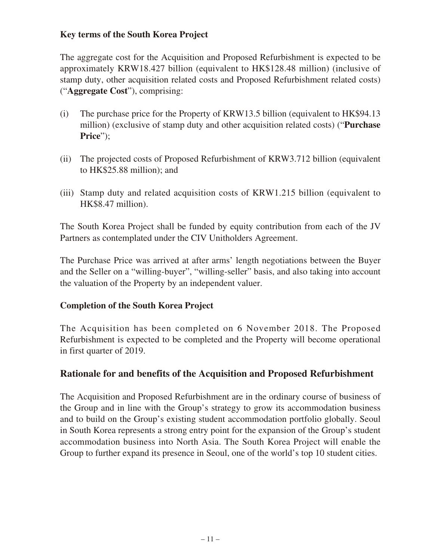## **Key terms of the South Korea Project**

The aggregate cost for the Acquisition and Proposed Refurbishment is expected to be approximately KRW18.427 billion (equivalent to HK\$128.48 million) (inclusive of stamp duty, other acquisition related costs and Proposed Refurbishment related costs) ("**Aggregate Cost**"), comprising:

- (i) The purchase price for the Property of KRW13.5 billion (equivalent to HK\$94.13 million) (exclusive of stamp duty and other acquisition related costs) ("**Purchase Price**");
- (ii) The projected costs of Proposed Refurbishment of KRW3.712 billion (equivalent to HK\$25.88 million); and
- (iii) Stamp duty and related acquisition costs of KRW1.215 billion (equivalent to HK\$8.47 million).

The South Korea Project shall be funded by equity contribution from each of the JV Partners as contemplated under the CIV Unitholders Agreement.

The Purchase Price was arrived at after arms' length negotiations between the Buyer and the Seller on a "willing-buyer", "willing-seller" basis, and also taking into account the valuation of the Property by an independent valuer.

### **Completion of the South Korea Project**

The Acquisition has been completed on 6 November 2018. The Proposed Refurbishment is expected to be completed and the Property will become operational in first quarter of 2019.

## **Rationale for and benefits of the Acquisition and Proposed Refurbishment**

The Acquisition and Proposed Refurbishment are in the ordinary course of business of the Group and in line with the Group's strategy to grow its accommodation business and to build on the Group's existing student accommodation portfolio globally. Seoul in South Korea represents a strong entry point for the expansion of the Group's student accommodation business into North Asia. The South Korea Project will enable the Group to further expand its presence in Seoul, one of the world's top 10 student cities.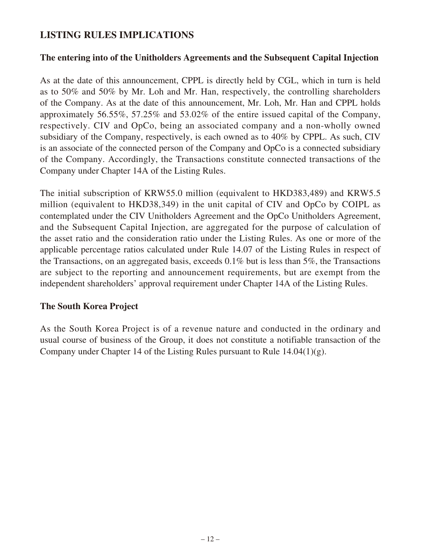## **LISTING RULES IMPLICATIONS**

#### **The entering into of the Unitholders Agreements and the Subsequent Capital Injection**

As at the date of this announcement, CPPL is directly held by CGL, which in turn is held as to 50% and 50% by Mr. Loh and Mr. Han, respectively, the controlling shareholders of the Company. As at the date of this announcement, Mr. Loh, Mr. Han and CPPL holds approximately 56.55%, 57.25% and 53.02% of the entire issued capital of the Company, respectively. CIV and OpCo, being an associated company and a non-wholly owned subsidiary of the Company, respectively, is each owned as to 40% by CPPL. As such, CIV is an associate of the connected person of the Company and OpCo is a connected subsidiary of the Company. Accordingly, the Transactions constitute connected transactions of the Company under Chapter 14A of the Listing Rules.

The initial subscription of KRW55.0 million (equivalent to HKD383,489) and KRW5.5 million (equivalent to HKD38,349) in the unit capital of CIV and OpCo by COIPL as contemplated under the CIV Unitholders Agreement and the OpCo Unitholders Agreement, and the Subsequent Capital Injection, are aggregated for the purpose of calculation of the asset ratio and the consideration ratio under the Listing Rules. As one or more of the applicable percentage ratios calculated under Rule 14.07 of the Listing Rules in respect of the Transactions, on an aggregated basis, exceeds 0.1% but is less than 5%, the Transactions are subject to the reporting and announcement requirements, but are exempt from the independent shareholders' approval requirement under Chapter 14A of the Listing Rules.

#### **The South Korea Project**

As the South Korea Project is of a revenue nature and conducted in the ordinary and usual course of business of the Group, it does not constitute a notifiable transaction of the Company under Chapter 14 of the Listing Rules pursuant to Rule 14.04(1)(g).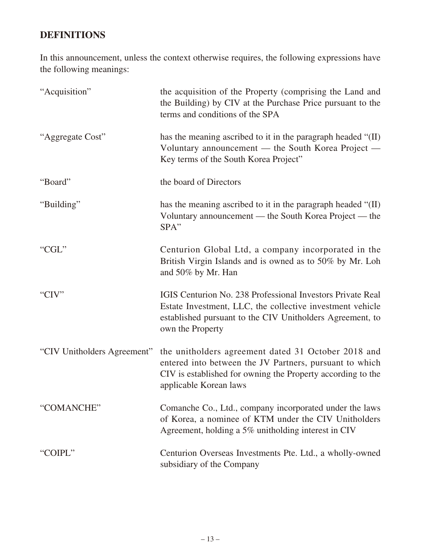## **DEFINITIONS**

In this announcement, unless the context otherwise requires, the following expressions have the following meanings:

| "Acquisition"               | the acquisition of the Property (comprising the Land and<br>the Building) by CIV at the Purchase Price pursuant to the<br>terms and conditions of the SPA                                                |
|-----------------------------|----------------------------------------------------------------------------------------------------------------------------------------------------------------------------------------------------------|
| "Aggregate Cost"            | has the meaning ascribed to it in the paragraph headed "(II)<br>Voluntary announcement - the South Korea Project -<br>Key terms of the South Korea Project"                                              |
| "Board"                     | the board of Directors                                                                                                                                                                                   |
| "Building"                  | has the meaning ascribed to it in the paragraph headed "(II)<br>Voluntary announcement — the South Korea Project — the<br>SPA"                                                                           |
| "CGL"                       | Centurion Global Ltd, a company incorporated in the<br>British Virgin Islands and is owned as to 50% by Mr. Loh<br>and 50% by Mr. Han                                                                    |
| "CIV"                       | IGIS Centurion No. 238 Professional Investors Private Real<br>Estate Investment, LLC, the collective investment vehicle<br>established pursuant to the CIV Unitholders Agreement, to<br>own the Property |
| "CIV Unitholders Agreement" | the unitholders agreement dated 31 October 2018 and<br>entered into between the JV Partners, pursuant to which<br>CIV is established for owning the Property according to the<br>applicable Korean laws  |
| "COMANCHE"                  | Comanche Co., Ltd., company incorporated under the laws<br>of Korea, a nominee of KTM under the CIV Unitholders<br>Agreement, holding a 5% unitholding interest in CIV                                   |
| "COIPL"                     | Centurion Overseas Investments Pte. Ltd., a wholly-owned<br>subsidiary of the Company                                                                                                                    |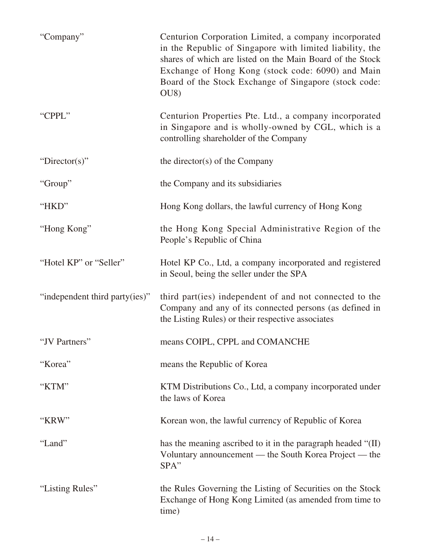| "Company"                      | Centurion Corporation Limited, a company incorporated<br>in the Republic of Singapore with limited liability, the<br>shares of which are listed on the Main Board of the Stock<br>Exchange of Hong Kong (stock code: 6090) and Main<br>Board of the Stock Exchange of Singapore (stock code:<br>OU <sub>8</sub> |
|--------------------------------|-----------------------------------------------------------------------------------------------------------------------------------------------------------------------------------------------------------------------------------------------------------------------------------------------------------------|
| "CPPL"                         | Centurion Properties Pte. Ltd., a company incorporated<br>in Singapore and is wholly-owned by CGL, which is a<br>controlling shareholder of the Company                                                                                                                                                         |
| "Director(s)"                  | the director(s) of the Company                                                                                                                                                                                                                                                                                  |
| "Group"                        | the Company and its subsidiaries                                                                                                                                                                                                                                                                                |
| "HKD"                          | Hong Kong dollars, the lawful currency of Hong Kong                                                                                                                                                                                                                                                             |
| "Hong Kong"                    | the Hong Kong Special Administrative Region of the<br>People's Republic of China                                                                                                                                                                                                                                |
| "Hotel KP" or "Seller"         | Hotel KP Co., Ltd, a company incorporated and registered<br>in Seoul, being the seller under the SPA                                                                                                                                                                                                            |
| "independent third party(ies)" | third part (ies) independent of and not connected to the<br>Company and any of its connected persons (as defined in<br>the Listing Rules) or their respective associates                                                                                                                                        |
| "JV Partners"                  | means COIPL, CPPL and COMANCHE                                                                                                                                                                                                                                                                                  |
| "Korea"                        | means the Republic of Korea                                                                                                                                                                                                                                                                                     |
| "KTM"                          | KTM Distributions Co., Ltd, a company incorporated under<br>the laws of Korea                                                                                                                                                                                                                                   |
| "KRW"                          | Korean won, the lawful currency of Republic of Korea                                                                                                                                                                                                                                                            |
| "Land"                         | has the meaning ascribed to it in the paragraph headed "(II)<br>Voluntary announcement — the South Korea Project — the<br>SPA"                                                                                                                                                                                  |
| "Listing Rules"                | the Rules Governing the Listing of Securities on the Stock<br>Exchange of Hong Kong Limited (as amended from time to<br>time)                                                                                                                                                                                   |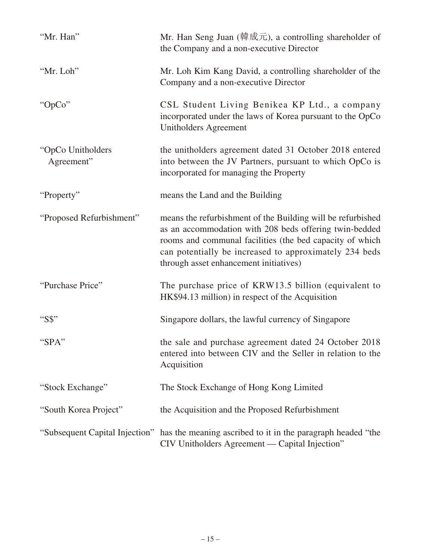| "Mr. Han"                       | Mr. Han Seng Juan (韓成元), a controlling shareholder of<br>the Company and a non-executive Director                                                                                                                                                                                     |
|---------------------------------|---------------------------------------------------------------------------------------------------------------------------------------------------------------------------------------------------------------------------------------------------------------------------------------|
| "Mr. Loh"                       | Mr. Loh Kim Kang David, a controlling shareholder of the<br>Company and a non-executive Director                                                                                                                                                                                      |
| "OpCo"                          | CSL Student Living Benikea KP Ltd., a company<br>incorporated under the laws of Korea pursuant to the OpCo<br>Unitholders Agreement                                                                                                                                                   |
| "OpCo Unitholders<br>Agreement" | the unitholders agreement dated 31 October 2018 entered<br>into between the JV Partners, pursuant to which OpCo is<br>incorporated for managing the Property                                                                                                                          |
| "Property"                      | means the Land and the Building                                                                                                                                                                                                                                                       |
| "Proposed Refurbishment"        | means the refurbishment of the Building will be refurbished<br>as an accommodation with 208 beds offering twin-bedded<br>rooms and communal facilities (the bed capacity of which<br>can potentially be increased to approximately 234 beds<br>through asset enhancement initiatives) |
| "Purchase Price"                | The purchase price of KRW13.5 billion (equivalent to<br>HK\$94.13 million) in respect of the Acquisition                                                                                                                                                                              |
| "S\$"                           | Singapore dollars, the lawful currency of Singapore                                                                                                                                                                                                                                   |
| "SPA"                           | the sale and purchase agreement dated 24 October 2018<br>entered into between CIV and the Seller in relation to the<br>Acquisition                                                                                                                                                    |
| "Stock Exchange"                | The Stock Exchange of Hong Kong Limited                                                                                                                                                                                                                                               |
| "South Korea Project"           | the Acquisition and the Proposed Refurbishment                                                                                                                                                                                                                                        |
|                                 | "Subsequent Capital Injection" has the meaning ascribed to it in the paragraph headed "the<br>CIV Unitholders Agreement — Capital Injection"                                                                                                                                          |